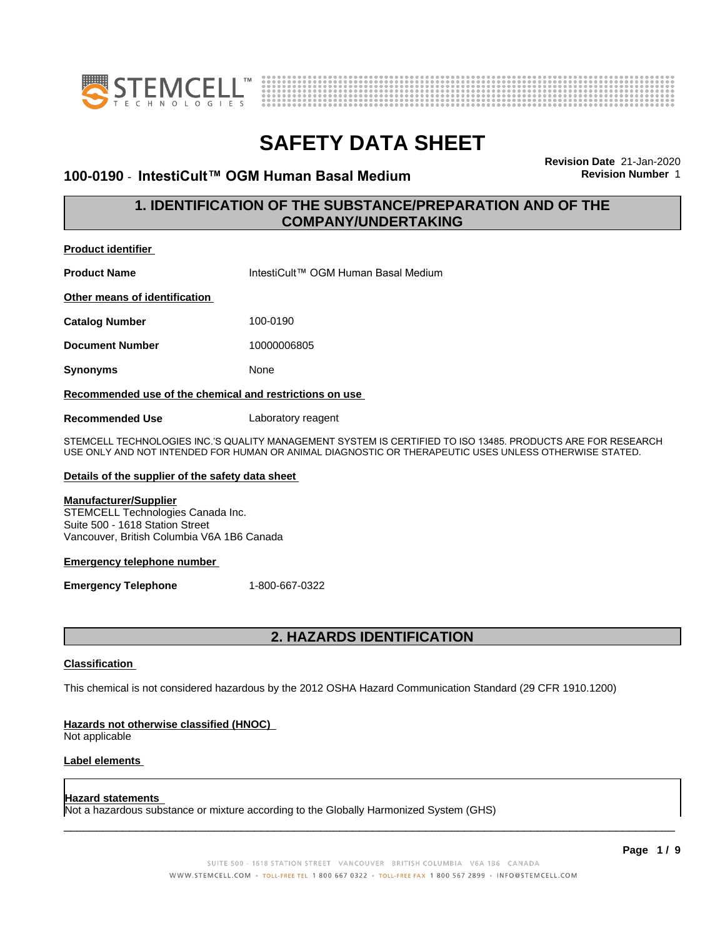



#### **100-0190** - **IntestiCult™ OGMHumanBasalMedium Revision Number** 1

**Revision Date** 21-Jan-2020

#### **1. IDENTIFICATION OF THE SUBSTANCE/PREPARATION AND OF THE COMPANY/UNDERTAKING**

| <b>Product identifier</b>                                                                                                                          |                                                                                                                                                                                                                      |
|----------------------------------------------------------------------------------------------------------------------------------------------------|----------------------------------------------------------------------------------------------------------------------------------------------------------------------------------------------------------------------|
| <b>Product Name</b>                                                                                                                                | IntestiCult™ OGM Human Basal Medium                                                                                                                                                                                  |
| Other means of identification                                                                                                                      |                                                                                                                                                                                                                      |
| <b>Catalog Number</b>                                                                                                                              | 100-0190                                                                                                                                                                                                             |
| <b>Document Number</b>                                                                                                                             | 10000006805                                                                                                                                                                                                          |
| Synonyms                                                                                                                                           | None                                                                                                                                                                                                                 |
| Recommended use of the chemical and restrictions on use                                                                                            |                                                                                                                                                                                                                      |
| <b>Recommended Use</b>                                                                                                                             | Laboratory reagent                                                                                                                                                                                                   |
|                                                                                                                                                    | STEMCELL TECHNOLOGIES INC.'S QUALITY MANAGEMENT SYSTEM IS CERTIFIED TO ISO 13485. PRODUCTS ARE FOR RESEARCH<br>USE ONLY AND NOT INTENDED FOR HUMAN OR ANIMAL DIAGNOSTIC OR THERAPEUTIC USES UNLESS OTHERWISE STATED. |
| Details of the supplier of the safety data sheet                                                                                                   |                                                                                                                                                                                                                      |
| <b>Manufacturer/Supplier</b><br>STEMCELL Technologies Canada Inc.<br>Suite 500 - 1618 Station Street<br>Vancouver, British Columbia V6A 1B6 Canada |                                                                                                                                                                                                                      |
| <b>Emergency telephone number</b>                                                                                                                  |                                                                                                                                                                                                                      |
| <b>Emergency Telephone</b>                                                                                                                         | 1-800-667-0322                                                                                                                                                                                                       |
|                                                                                                                                                    |                                                                                                                                                                                                                      |
|                                                                                                                                                    |                                                                                                                                                                                                                      |

#### **2. HAZARDS IDENTIFICATION**

#### **Classification**

This chemical is not considered hazardous by the 2012 OSHA Hazard Communication Standard (29 CFR 1910.1200)

#### **Hazards not otherwise classified (HNOC)**

Not applicable

#### **Label elements**

#### **Hazard statements**

Not a hazardous substance or mixture according to the Globally Harmonized System (GHS)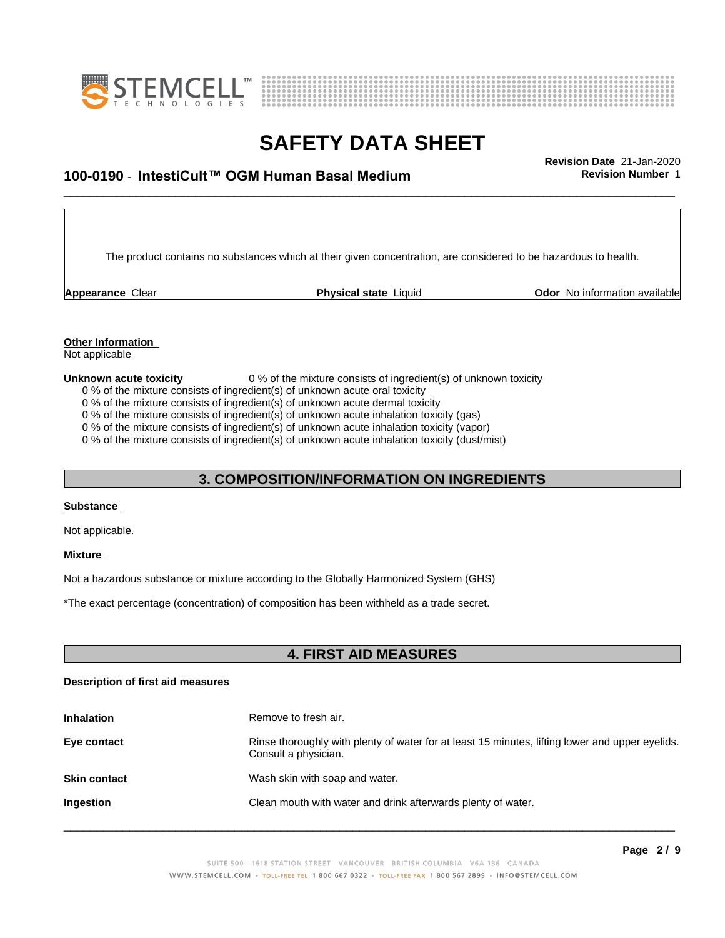



# \_\_\_\_\_\_\_\_\_\_\_\_\_\_\_\_\_\_\_\_\_\_\_\_\_\_\_\_\_\_\_\_\_\_\_\_\_\_\_\_\_\_\_\_\_\_\_\_\_\_\_\_\_\_\_\_\_\_\_\_\_\_\_\_\_\_\_\_\_\_\_\_\_\_\_\_\_\_\_\_\_\_\_\_\_\_\_\_\_\_\_\_\_ **Revision Date** 21-Jan-2020 **100-0190 ⋅ IntestiCult™ OGM Human Basal Medium Revision Number** 1

The product contains no substances which at their given concentration, are considered to be hazardous to health.

**Appearance** Clear **Physical state** Liquid **Odor No information available Appearance** Clear

## **Other Information**

Not applicable

**Unknown acute toxicity** 0 % of the mixture consists of ingredient(s) of unknown toxicity

0 % of the mixture consists of ingredient(s) of unknown acute oral toxicity

0 % of the mixture consists of ingredient(s) of unknown acute dermal toxicity

0 % of the mixture consists of ingredient(s) of unknown acute inhalation toxicity (gas)

0 % of the mixture consists of ingredient(s) of unknown acute inhalation toxicity (vapor)

0 % of the mixture consists of ingredient(s) of unknown acute inhalation toxicity (dust/mist)

#### **3. COMPOSITION/INFORMATION ON INGREDIENTS**

#### **Substance**

Not applicable.

#### **Mixture**

Not a hazardous substance or mixture according to the Globally Harmonized System (GHS)

\*The exact percentage (concentration) ofcomposition has been withheld as a trade secret.

#### **4. FIRST AID MEASURES**

#### **Description of first aid measures**

| <b>Inhalation</b>   | Remove to fresh air.                                                                                                    |
|---------------------|-------------------------------------------------------------------------------------------------------------------------|
| Eye contact         | Rinse thoroughly with plenty of water for at least 15 minutes, lifting lower and upper eyelids.<br>Consult a physician. |
| <b>Skin contact</b> | Wash skin with soap and water.                                                                                          |
| Ingestion           | Clean mouth with water and drink afterwards plenty of water.                                                            |
|                     |                                                                                                                         |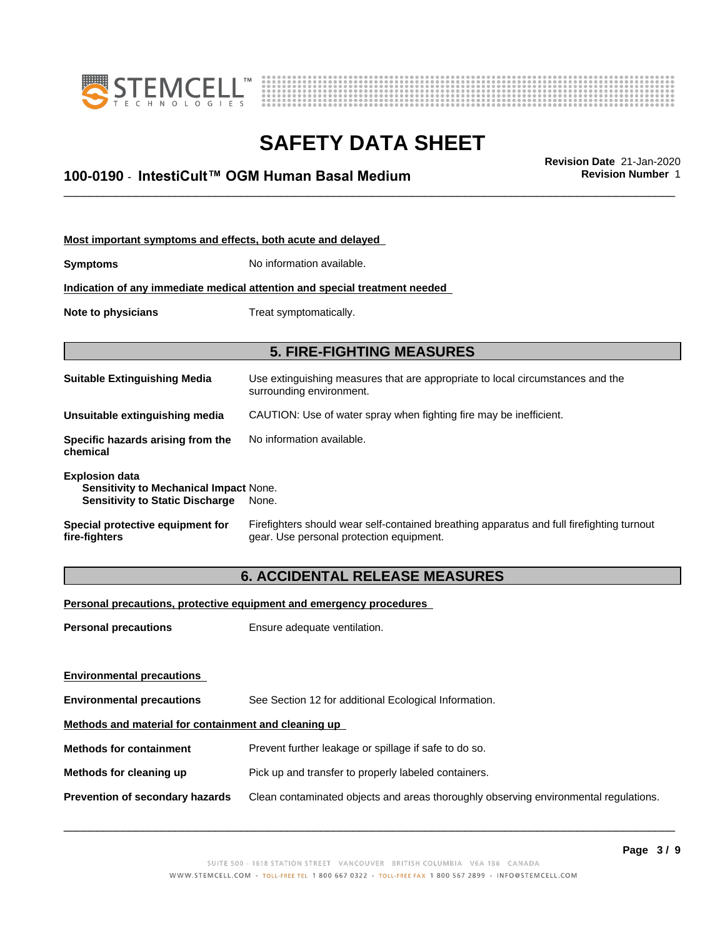



\_\_\_\_\_\_\_\_\_\_\_\_\_\_\_\_\_\_\_\_\_\_\_\_\_\_\_\_\_\_\_\_\_\_\_\_\_\_\_\_\_\_\_\_\_\_\_\_\_\_\_\_\_\_\_\_\_\_\_\_\_\_\_\_\_\_\_\_\_\_\_\_\_\_\_\_\_\_\_\_\_\_\_\_\_\_\_\_\_\_\_\_\_ **Revision Date** 21-Jan-2020 **100-0190 ⋅ IntestiCult™ OGM Human Basal Medium Revision Number** 1

| Most important symptoms and effects, both acute and delayed                                               |                                                                                                                                       |  |  |
|-----------------------------------------------------------------------------------------------------------|---------------------------------------------------------------------------------------------------------------------------------------|--|--|
| <b>Symptoms</b>                                                                                           | No information available.                                                                                                             |  |  |
|                                                                                                           | Indication of any immediate medical attention and special treatment needed                                                            |  |  |
| Treat symptomatically.<br>Note to physicians                                                              |                                                                                                                                       |  |  |
|                                                                                                           |                                                                                                                                       |  |  |
|                                                                                                           | <b>5. FIRE-FIGHTING MEASURES</b>                                                                                                      |  |  |
| <b>Suitable Extinguishing Media</b>                                                                       | Use extinguishing measures that are appropriate to local circumstances and the<br>surrounding environment.                            |  |  |
| Unsuitable extinguishing media                                                                            | CAUTION: Use of water spray when fighting fire may be inefficient.                                                                    |  |  |
| Specific hazards arising from the<br>chemical                                                             | No information available.                                                                                                             |  |  |
| <b>Explosion data</b><br>Sensitivity to Mechanical Impact None.<br><b>Sensitivity to Static Discharge</b> | None.                                                                                                                                 |  |  |
| Special protective equipment for<br>fire-fighters                                                         | Firefighters should wear self-contained breathing apparatus and full firefighting turnout<br>gear. Use personal protection equipment. |  |  |

### **6. ACCIDENTAL RELEASE MEASURES**

**Personal precautions, protective equipment and emergency procedures**

**Personal precautions** Ensure adequate ventilation.

| See Section 12 for additional Ecological Information.                                |  |  |  |
|--------------------------------------------------------------------------------------|--|--|--|
| Methods and material for containment and cleaning up                                 |  |  |  |
| Prevent further leakage or spillage if safe to do so.                                |  |  |  |
| Pick up and transfer to properly labeled containers.                                 |  |  |  |
| Clean contaminated objects and areas thoroughly observing environmental regulations. |  |  |  |
|                                                                                      |  |  |  |
|                                                                                      |  |  |  |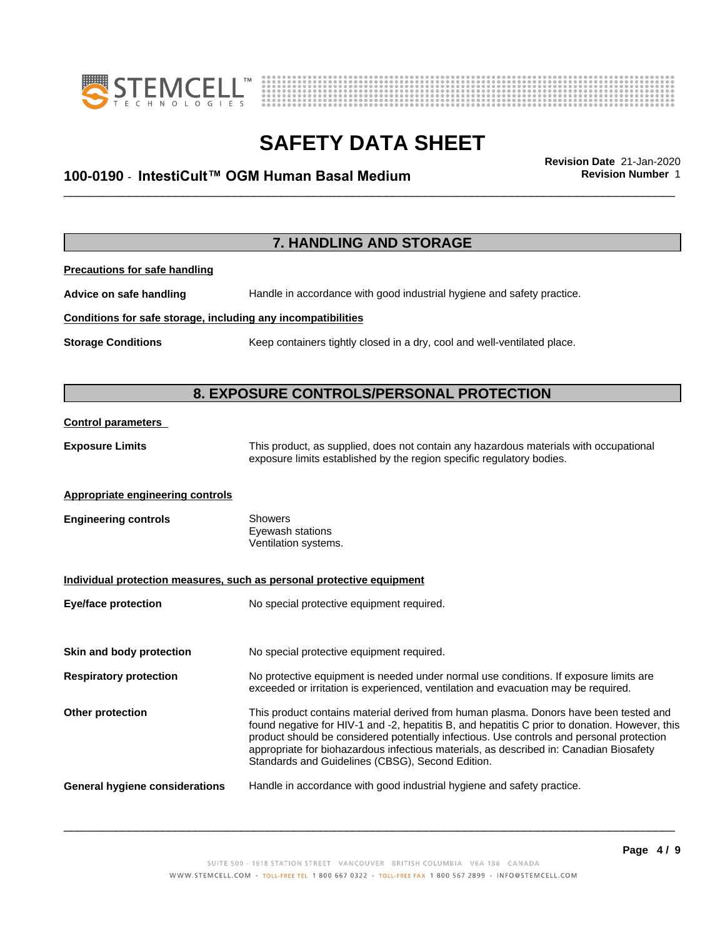



# \_\_\_\_\_\_\_\_\_\_\_\_\_\_\_\_\_\_\_\_\_\_\_\_\_\_\_\_\_\_\_\_\_\_\_\_\_\_\_\_\_\_\_\_\_\_\_\_\_\_\_\_\_\_\_\_\_\_\_\_\_\_\_\_\_\_\_\_\_\_\_\_\_\_\_\_\_\_\_\_\_\_\_\_\_\_\_\_\_\_\_\_\_ **Revision Date** 21-Jan-2020 **100-0190 ⋅ IntestiCult™ OGM Human Basal Medium Revision Number** 1

|                                                              | 7. HANDLING AND STORAGE                                                                                                                                                                                                                                                                                                                                                                                                            |
|--------------------------------------------------------------|------------------------------------------------------------------------------------------------------------------------------------------------------------------------------------------------------------------------------------------------------------------------------------------------------------------------------------------------------------------------------------------------------------------------------------|
| <b>Precautions for safe handling</b>                         |                                                                                                                                                                                                                                                                                                                                                                                                                                    |
| Advice on safe handling                                      | Handle in accordance with good industrial hygiene and safety practice.                                                                                                                                                                                                                                                                                                                                                             |
| Conditions for safe storage, including any incompatibilities |                                                                                                                                                                                                                                                                                                                                                                                                                                    |
| <b>Storage Conditions</b>                                    | Keep containers tightly closed in a dry, cool and well-ventilated place.                                                                                                                                                                                                                                                                                                                                                           |
|                                                              | 8. EXPOSURE CONTROLS/PERSONAL PROTECTION                                                                                                                                                                                                                                                                                                                                                                                           |
| <b>Control parameters</b>                                    |                                                                                                                                                                                                                                                                                                                                                                                                                                    |
| <b>Exposure Limits</b>                                       | This product, as supplied, does not contain any hazardous materials with occupational<br>exposure limits established by the region specific regulatory bodies.                                                                                                                                                                                                                                                                     |
| <b>Appropriate engineering controls</b>                      |                                                                                                                                                                                                                                                                                                                                                                                                                                    |
| <b>Engineering controls</b>                                  | <b>Showers</b><br>Eyewash stations<br>Ventilation systems.                                                                                                                                                                                                                                                                                                                                                                         |
|                                                              | Individual protection measures, such as personal protective equipment                                                                                                                                                                                                                                                                                                                                                              |
| <b>Eye/face protection</b>                                   | No special protective equipment required.                                                                                                                                                                                                                                                                                                                                                                                          |
| Skin and body protection                                     | No special protective equipment required.                                                                                                                                                                                                                                                                                                                                                                                          |
| <b>Respiratory protection</b>                                | No protective equipment is needed under normal use conditions. If exposure limits are<br>exceeded or irritation is experienced, ventilation and evacuation may be required.                                                                                                                                                                                                                                                        |
| Other protection                                             | This product contains material derived from human plasma. Donors have been tested and<br>found negative for HIV-1 and -2, hepatitis B, and hepatitis C prior to donation. However, this<br>product should be considered potentially infectious. Use controls and personal protection<br>appropriate for biohazardous infectious materials, as described in: Canadian Biosafety<br>Standards and Guidelines (CBSG), Second Edition. |
| <b>General hygiene considerations</b>                        | Handle in accordance with good industrial hygiene and safety practice.                                                                                                                                                                                                                                                                                                                                                             |
|                                                              |                                                                                                                                                                                                                                                                                                                                                                                                                                    |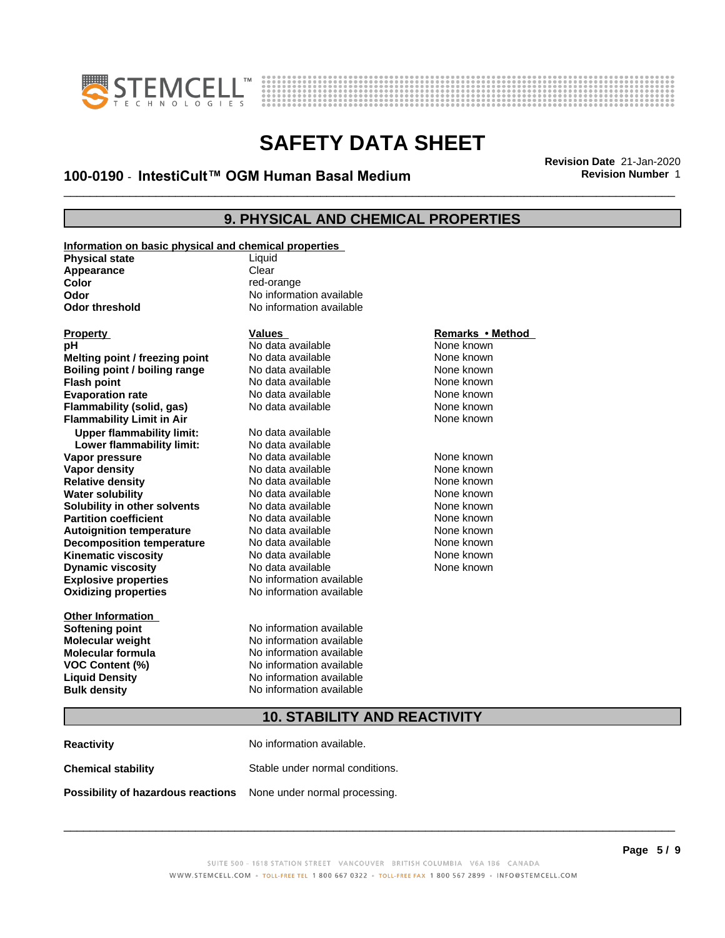



# \_\_\_\_\_\_\_\_\_\_\_\_\_\_\_\_\_\_\_\_\_\_\_\_\_\_\_\_\_\_\_\_\_\_\_\_\_\_\_\_\_\_\_\_\_\_\_\_\_\_\_\_\_\_\_\_\_\_\_\_\_\_\_\_\_\_\_\_\_\_\_\_\_\_\_\_\_\_\_\_\_\_\_\_\_\_\_\_\_\_\_\_\_ **Revision Date** 21-Jan-2020 **100-0190 ⋅ IntestiCult™ OGM Human Basal Medium Revision Number** 1

#### **9. PHYSICAL AND CHEMICAL PROPERTIES**

**Information on basic physical and chemical properties Physical state** Liquid Appearance **Clear Color** red-orange **Odor** No information available<br> **Odor threshold** Mo information available

**Explosive properties**<br> **Oxidizing properties**<br>
No information available **Oxidizing properties Melting point / freezing point** No data available None known<br> **Boiling point / boiling range** No data available None known **Boiling point / boiling range** No data available None known<br> **Flash point None known**<br>
No data available None known **Flash point** No data available **Evaporation rate** The South Control and No data available The None known **Flammability (solid, gas)** No data available None known **Flammability Limit in Air None known None known Upper flammability limit:** No data available **Lower flammability limit:** No data available **Vapor pressure** 1980 in the Modata available 1980 in the Known None known<br> **Vapor density** 1980 in the None Known None known None known **Vapor density No data available and the Choice of Choice Algebra 2016** None known<br> **Relative density No data available None known Relative density Water solubility No data available None known Solubility in other solvents** No data available None known **Partition coefficient**<br> **Autoignition temperature**<br>
No data available None Known<br>
None known **Autoignition temperature No data available None known**<br> **Decomposition temperature** No data available **None known**<br>
None known **Decomposition temperature** No data available None known<br> **Kinematic viscosity** No data available None known **Kinematic viscosity** No data available<br> **Dynamic viscosity** No data available **Dynamic** viscosity

**Other Information**

# **No information available**

**PH** No data available **None known**<br>No data available None known

**Softening point** No information available **Molecular weight** No information available **Molecular formula** No information available **VOC Content (%)** No information available **Liquid Density** No information available **Bulk density** No information available

# **Property Calles Values Values**<br> **Property Remarks • Method**<br> **PRICION CONTRACTE INTERET ACCOUNT ACCOUNT ACCOUNT ACCOUNT ACCOUNT ACCOUNT ACCOUNT ACCOUNT ACCOUNT ACCOUNT ACCOUNT ACCOUNT ACCOUNT ACCOUNT ACCOUNT ACCOUNT ACC**

None known

#### **10. STABILITY AND REACTIVITY**

**Reactivity** No information available. **Chemical stability** Stable under normal conditions. **Possibility of hazardous reactions** None under normal processing.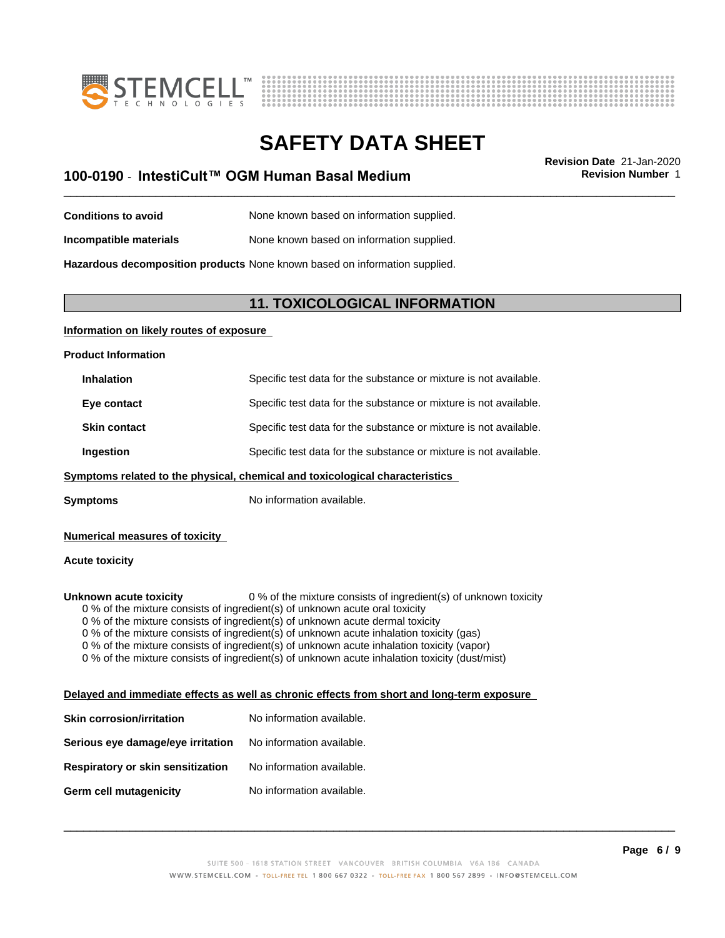



# **SAFETY DATA SHEET**<br>Revision Date 21-Jan-2020

# \_\_\_\_\_\_\_\_\_\_\_\_\_\_\_\_\_\_\_\_\_\_\_\_\_\_\_\_\_\_\_\_\_\_\_\_\_\_\_\_\_\_\_\_\_\_\_\_\_\_\_\_\_\_\_\_\_\_\_\_\_\_\_\_\_\_\_\_\_\_\_\_\_\_\_\_\_\_\_\_\_\_\_\_\_\_\_\_\_\_\_\_\_ **Revision Date** 21-Jan-2020 **100-0190 ⋅ IntestiCult™ OGM Human Basal Medium Revision Number** 1

- **Conditions to avoid** None known based on information supplied.
- **Incompatible materials** None known based on information supplied.

**Hazardous decomposition products** None known based on information supplied.

#### **11. TOXICOLOGICAL INFORMATION**

#### **Information on likely routes of exposure**

**Product Information**

| <b>Inhalation</b>   | Specific test data for the substance or mixture is not available. |
|---------------------|-------------------------------------------------------------------|
| Eye contact         | Specific test data for the substance or mixture is not available. |
| <b>Skin contact</b> | Specific test data for the substance or mixture is not available. |
| Ingestion           | Specific test data for the substance or mixture is not available. |

#### **<u>Symptoms related to the physical, chemical and toxicological characteristics</u>**

**Symptoms** No information available.

#### **Numerical measures of toxicity**

#### **Acute toxicity**

**Unknown acute toxicity** 0 % of the mixture consists of ingredient(s) of unknown toxicity

0 % of the mixture consists of ingredient(s) of unknown acute oral toxicity

 $0$  % of the mixture consists of ingredient(s) of unknown acute dermal toxicity

0 % of the mixture consists of ingredient(s) of unknown acute inhalation toxicity (gas)

0 % of the mixture consists of ingredient(s) of unknown acute inhalation toxicity (vapor)

0 % of the mixture consists of ingredient(s) of unknown acute inhalation toxicity (dust/mist)

#### **Delayed and immediate effects as well as chronic effects from short and long-term exposure**

| Skin corrosion/irritation         | No information available. |
|-----------------------------------|---------------------------|
| Serious eye damage/eye irritation | No information available. |
| Respiratory or skin sensitization | No information available. |
| Germ cell mutagenicity            | No information available. |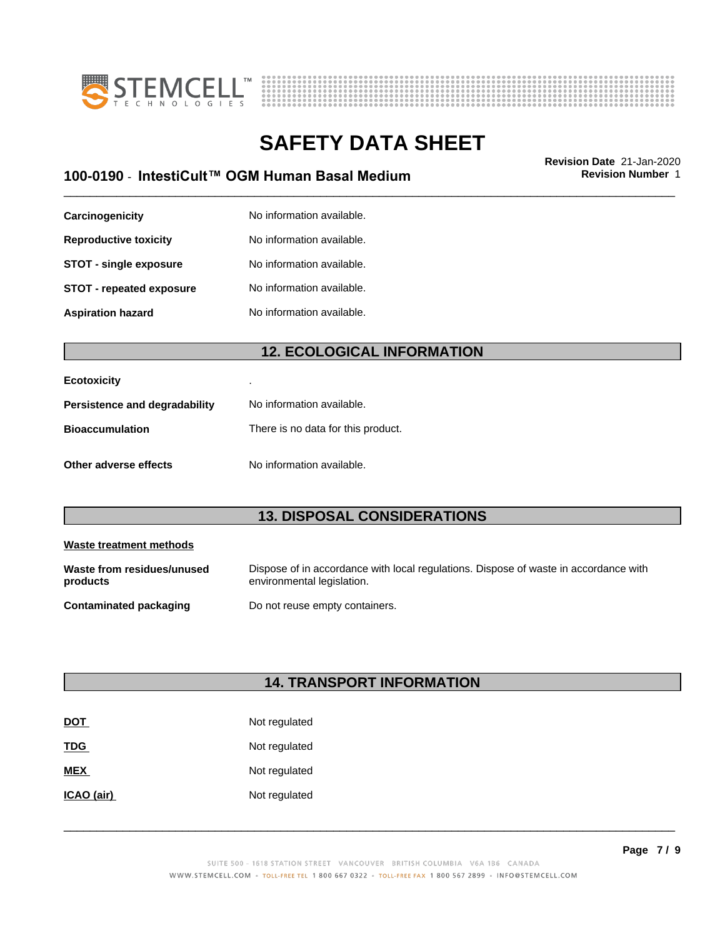



# \_\_\_\_\_\_\_\_\_\_\_\_\_\_\_\_\_\_\_\_\_\_\_\_\_\_\_\_\_\_\_\_\_\_\_\_\_\_\_\_\_\_\_\_\_\_\_\_\_\_\_\_\_\_\_\_\_\_\_\_\_\_\_\_\_\_\_\_\_\_\_\_\_\_\_\_\_\_\_\_\_\_\_\_\_\_\_\_\_\_\_\_\_ **Revision Date** 21-Jan-2020 **100-0190 ⋅ IntestiCult™ OGM Human Basal Medium Revision Number** 1

| Carcinogenicity                 | No information available. |
|---------------------------------|---------------------------|
| <b>Reproductive toxicity</b>    | No information available. |
| <b>STOT - single exposure</b>   | No information available. |
| <b>STOT - repeated exposure</b> | No information available. |
| <b>Aspiration hazard</b>        | No information available. |

#### **12. ECOLOGICAL INFORMATION**

| <b>Ecotoxicity</b>            |                                    |
|-------------------------------|------------------------------------|
| Persistence and degradability | No information available.          |
| <b>Bioaccumulation</b>        | There is no data for this product. |
| Other adverse effects         | No information available.          |

#### **13. DISPOSAL CONSIDERATIONS**

| Waste treatment methods                |                                                                                                                    |
|----------------------------------------|--------------------------------------------------------------------------------------------------------------------|
| Waste from residues/unused<br>products | Dispose of in accordance with local regulations. Dispose of waste in accordance with<br>environmental legislation. |
| Contaminated packaging                 | Do not reuse empty containers.                                                                                     |

## **14. TRANSPORT INFORMATION**

| <b>DOT</b> | Not regulated |
|------------|---------------|
| <b>TDG</b> | Not regulated |
| <b>MEX</b> | Not regulated |
| ICAO (air) | Not regulated |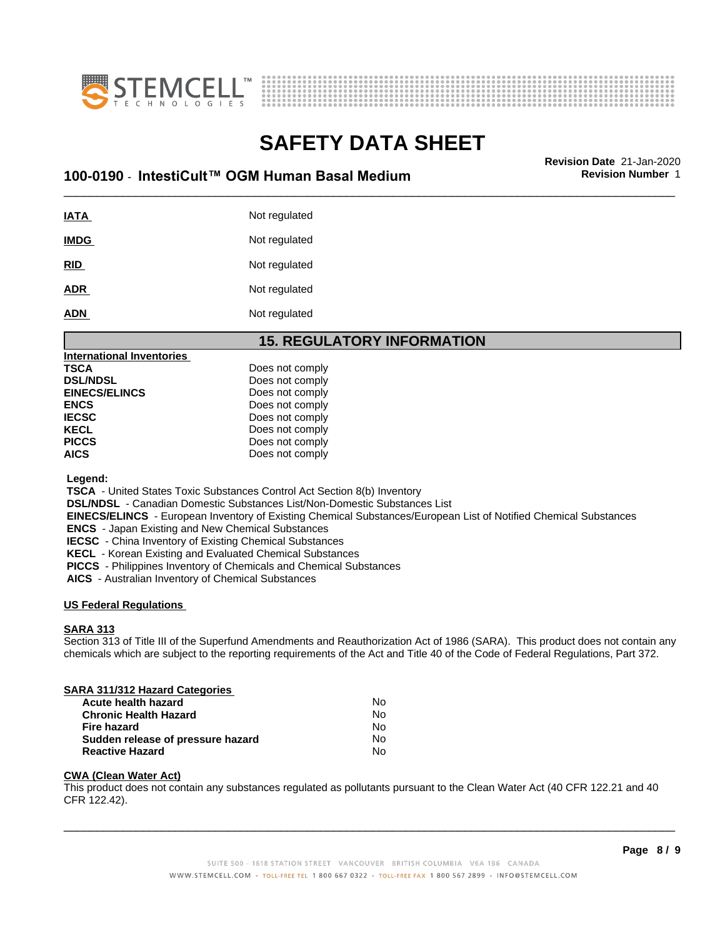



# **SAFETY DATA SHEET**<br>Revision Date 21-Jan-2020

# \_\_\_\_\_\_\_\_\_\_\_\_\_\_\_\_\_\_\_\_\_\_\_\_\_\_\_\_\_\_\_\_\_\_\_\_\_\_\_\_\_\_\_\_\_\_\_\_\_\_\_\_\_\_\_\_\_\_\_\_\_\_\_\_\_\_\_\_\_\_\_\_\_\_\_\_\_\_\_\_\_\_\_\_\_\_\_\_\_\_\_\_\_ **Revision Date** 21-Jan-2020 **100-0190 ⋅ IntestiCult™ OGM Human Basal Medium Revision Number** 1

**IATA** Not regulated **IMDG** Not regulated **RID** Not regulated ADR Not regulated **ADN** Not regulated

#### **15. REGULATORY INFORMATION**

| <b>International Inventories</b> |                 |  |
|----------------------------------|-----------------|--|
| TSCA                             | Does not comply |  |
| <b>DSL/NDSL</b>                  | Does not comply |  |
| <b>EINECS/ELINCS</b>             | Does not comply |  |
| <b>ENCS</b>                      | Does not comply |  |
| <b>IECSC</b>                     | Does not comply |  |
| <b>KECL</b>                      | Does not comply |  |
| <b>PICCS</b>                     | Does not comply |  |
| AICS                             | Does not comply |  |
|                                  |                 |  |

 **Legend:**

 **TSCA** - United States Toxic Substances Control Act Section 8(b) Inventory

 **DSL/NDSL** - Canadian Domestic Substances List/Non-Domestic Substances List

 **EINECS/ELINCS** - European Inventory of Existing Chemical Substances/European List of Notified Chemical Substances

 **ENCS** - Japan Existing and New Chemical Substances

 **IECSC** - China Inventory of Existing Chemical Substances

 **KECL** - Korean Existing and Evaluated Chemical Substances

 **PICCS** - Philippines Inventory of Chemicals and Chemical Substances

 **AICS** - Australian Inventory of Chemical Substances

#### **US Federal Regulations**

#### **SARA 313**

Section 313 of Title III of the Superfund Amendments and Reauthorization Act of 1986 (SARA). This product does not contain any chemicals which are subject to the reporting requirements of the Act and Title 40 of the Code of Federal Regulations, Part 372.

#### **SARA 311/312 Hazard Categories**

| Acute health hazard               | No. |
|-----------------------------------|-----|
| <b>Chronic Health Hazard</b>      | No. |
| Fire hazard                       | No. |
| Sudden release of pressure hazard | No. |
| <b>Reactive Hazard</b>            | N٥  |

#### **CWA (Clean WaterAct)**

This product does not contain any substances regulated as pollutants pursuant to the Clean Water Act (40 CFR 122.21 and 40 CFR 122.42).